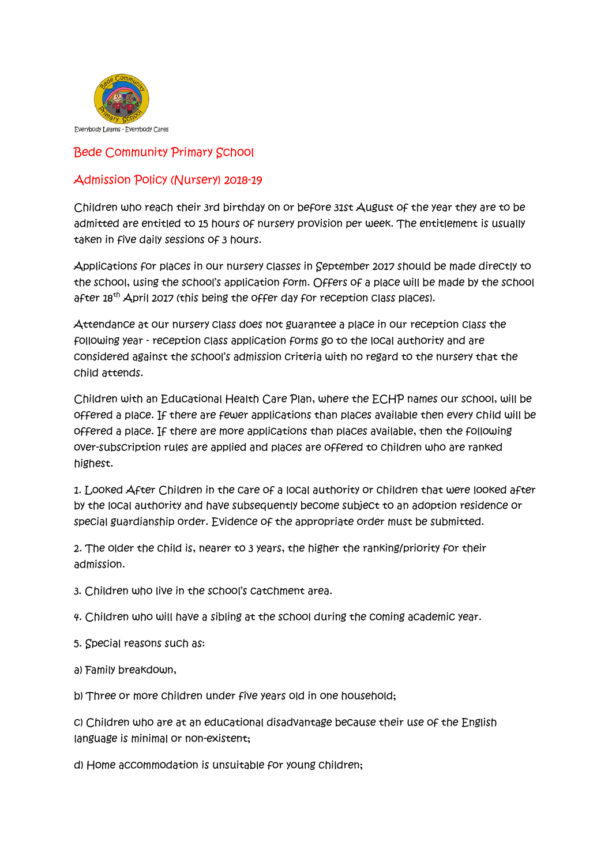

Bede Community Primary School

## Admission Policy (Nursery) 2018-19

Children who reach their 3rd birthday on or before 31st August of the year they are to be admitted are entitled to 15 hours of nursery provision per week. The entitlement is usually taken in five daily sessions of 3 hours.

Applications for places in our nursery classes in September 2017 should be made directly to the school, using the school's application form. Offers of a place will be made by the school after 18<sup>th</sup> April 2017 (this being the offer day for reception class places).

Attendance at our nursery class does not guarantee a place in our reception class the following year - reception class application forms go to the local authority and are considered against the school's admission criteria with no regard to the nursery that the child attends.

Children with an Educational Health Care Plan, where the ECHP names our school, will be offered a place. If there are fewer applications than places available then every child will be offered a place. If there are more applications than places available, then the following over-subscription rules are applied and places are offered to children who are ranked highest.

1. Looked After Children in the care of a local authority or children that were looked after by the local authority and have subsequently become subject to an adoption residence or special guardianship order. Evidence of the appropriate order must be submitted.

2. The older the child is, nearer to 3 years, the higher the ranking/priority for their admission.

3. Children who live in the school's catchment area.

4. Children who will have a sibling at the school during the coming academic year.

5. Special reasons such as:

a) Family breakdown,

b) Three or more children under five years old in one household;

c) Children who are at an educational disadvantage because their use of the English language is minimal or non-existent;

d) Home accommodation is unsuitable for young children;